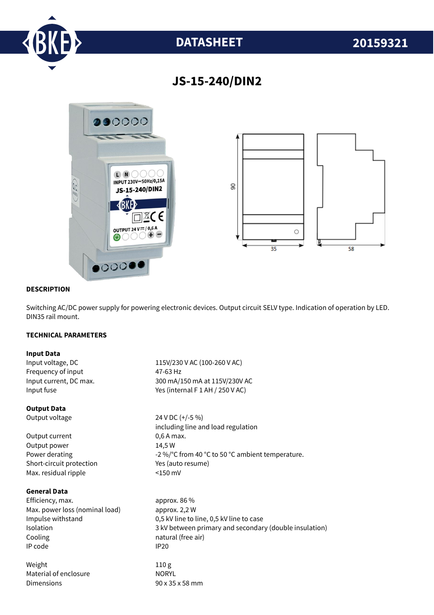

# **DATASHEET 20159321**

# **JS-15-240/DIN2**



### **DESCRIPTION**

Switching AC/DC power supply for powering electronic devices. Output circuit SELV type. Indication of operation by LED. DIN35 rail mount.

## **TECHNICAL PARAMETERS**

#### **Input Data**

Frequency of input 47-63 Hz

#### **Output Data**

Output current 0,6 A max. Output power 14,5 W Short-circuit protection Yes (auto resume) Max. residual ripple <150 mV

# **General Data**

Efficiency. max. approx. 86 % Max. power loss (nominal load) approx. 2,2 W Cooling **natural** (free air) IP code IP20

Weight 110 g Material of enclosure NORYL Dimensions 90 x 35 x 58 mm

Input voltage, DC 115V/230 V AC (100-260 V AC) Input current, DC max. 300 mA/150 mA at 115V/230V AC Input fuse  $Y$ es (internal F 1 AH / 250 V AC)

Output voltage 24 V DC (+/-5 %) including line and load regulation Power derating  $-2\%$  /°C from 40 °C to 50 °C ambient temperature.

Impulse withstand 0,5 kV line to line, 0,5 kV line to case Isolation 3 kV between primary and secondary (double insulation)